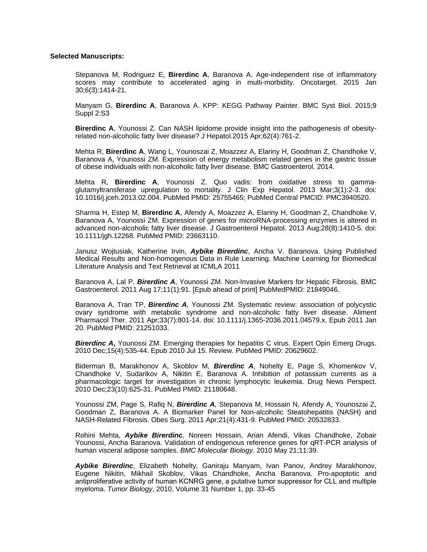## **Selected Manuscripts:**

Stepanova M, Rodriguez E, **Birerdinc A**, Baranova A. Age-independent rise of inflammatory scores may contribute to accelerated aging in multi-morbidity. Oncotarget. 2015 Jan 30;6(3):1414-21.

Manyam G, **Birerdinc A**, Baranova A. KPP: KEGG Pathway Painter. BMC Syst Biol. 2015;9 Suppl 2:S3

**Birerdinc A**, Younossi Z. Can NASH lipidome provide insight into the pathogenesis of obesityrelated non-alcoholic fatty liver disease? J Hepatol.2015 Apr;62(4):761-2.

Mehta R, **Birerdinc A**, Wang L, Younoszai Z, Moazzez A, Elariny H, Goodman Z, Chandhoke V, Baranova A, Younossi ZM. Expression of energy metabolism related genes in the gastric tissue of obese individuals with non-alcoholic fatty liver disease. BMC Gastroenterol. 2014.

Mehta R, **Birerdinc A**, Younossi Z. Quo vadis: from oxidative stress to gammaglutamyltransferase upregulation to mortality. J Clin Exp Hepatol. 2013 Mar;3(1):2-3. doi: 10.1016/j.jceh.2013.02.004. PubMed PMID: 25755465; PubMed Central PMCID: PMC3940520.

Sharma H, Estep M, **Birerdinc A**, Afendy A, Moazzez A, Elariny H, Goodman Z, Chandhoke V, Baranova A, Younossi ZM. Expression of genes for microRNA-processing enzymes is altered in advanced non-alcoholic fatty liver disease. J Gastroenterol Hepatol. 2013 Aug;28(8):1410-5. doi: 10.1111/jgh.12268. PubMed PMID: 23663110.

Janusz Wojtusiak, Katherine Irvin, *Aybike Birerdinc*, Ancha V. Baranova. Using Published Medical Results and Non-homogenous Data in Rule Learning. Machine Learning for Biomedical Literature Analysis and Text Retrieval at ICMLA 2011

Baranova A, Lal P, *Birerdinc A*, Younossi ZM. Non-Invasive Markers for Hepatic Fibrosis. BMC Gastroenterol. 2011 Aug 17;11(1):91. [Epub ahead of print] PubMedPMID: 21849046.

Baranova A, Tran TP, *Birerdinc A,* Younossi ZM. Systematic review: association of polycystic ovary syndrome with metabolic syndrome and non-alcoholic fatty liver disease. Aliment Pharmacol Ther. 2011 Apr;33(7):801-14. doi: 10.1111/j.1365-2036.2011.04579.x. Epub 2011 Jan 20. PubMed PMID: 21251033.

**Birerdinc A,** Younossi ZM. Emerging therapies for hepatitis C virus. Expert Opin Emerg Drugs. 2010 Dec;15(4):535-44. Epub 2010 Jul 15. Review. PubMed PMID: 20629602.

Biderman B, Marakhonov A, Skoblov M, *Birerdinc A*, Nohelty E, Page S, Khomenkov V, Chandhoke V, Sudarikov A, Nikitin E, Baranova A. Inhibition of potassium currents as a pharmacologic target for investigation in chronic lymphocytic leukemia. Drug News Perspect. 2010 Dec;23(10):625-31. PubMed PMID: 21180648.

Younossi ZM, Page S, Rafiq N, *Birerdinc A,* Stepanova M, Hossain N, Afendy A, Younoszai Z, Goodman Z, Baranova A. A Biomarker Panel for Non-alcoholic Steatohepatitis (NASH) and NASH-Related Fibrosis. Obes Surg. 2011 Apr;21(4):431-9. PubMed PMID: 20532833.

Rohini Mehta, *Aybike Birerdinc*, Noreen Hossain, Arian Afendi, Vikas Chandhoke, Zobair Younossi, Ancha Baranova. Validation of endogenous reference genes for qRT-PCR analysis of human visceral adipose samples. *BMC Molecular Biology.* 2010 May 21;11:39.

*Aybike Birerdinc*, Elizabeth Nohelty, Ganiraju Manyam, Ivan Panov, Andrey Marakhonov, Eugene Nikitin, Mikhail Skoblov, Vikas Chandhoke, Ancha Baranova. Pro-apoptotic and antiproliferative activity of human KСNRG gene, a putative tumor suppressor for CLL and multiple myeloma. *Tumor Biology*, 2010, Volume 31 Number 1, pp. 33-45